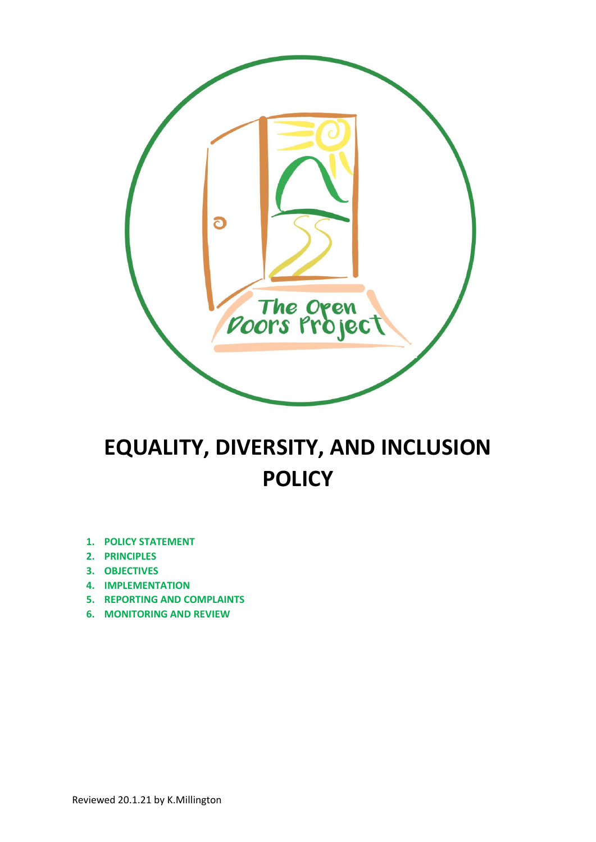

# **EQUALITY, DIVERSITY, AND INCLUSION POLICY**

- **1. POLICY STATEMENT**
- **2. PRINCIPLES**
- **3. OBJECTIVES**
- **4. IMPLEMENTATION**
- **5. REPORTING AND COMPLAINTS**
- **6. MONITORING AND REVIEW**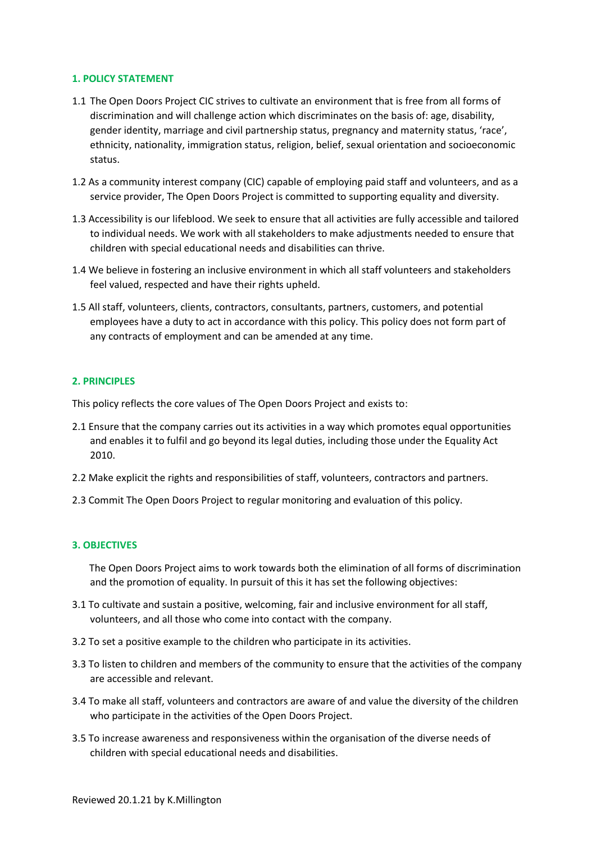#### **1. POLICY STATEMENT**

- 1.1 The Open Doors Project CIC strives to cultivate an environment that is free from all forms of discrimination and will challenge action which discriminates on the basis of: age, disability, gender identity, marriage and civil partnership status, pregnancy and maternity status, 'race', ethnicity, nationality, immigration status, religion, belief, sexual orientation and socioeconomic status.
- 1.2 As a community interest company (CIC) capable of employing paid staff and volunteers, and as a service provider, The Open Doors Project is committed to supporting equality and diversity.
- 1.3 Accessibility is our lifeblood. We seek to ensure that all activities are fully accessible and tailored to individual needs. We work with all stakeholders to make adjustments needed to ensure that children with special educational needs and disabilities can thrive.
- 1.4 We believe in fostering an inclusive environment in which all staff volunteers and stakeholders feel valued, respected and have their rights upheld.
- 1.5 All staff, volunteers, clients, contractors, consultants, partners, customers, and potential employees have a duty to act in accordance with this policy. This policy does not form part of any contracts of employment and can be amended at any time.

### **2. PRINCIPLES**

This policy reflects the core values of The Open Doors Project and exists to:

- 2.1 Ensure that the company carries out its activities in a way which promotes equal opportunities and enables it to fulfil and go beyond its legal duties, including those under the Equality Act 2010.
- 2.2 Make explicit the rights and responsibilities of staff, volunteers, contractors and partners.
- 2.3 Commit The Open Doors Project to regular monitoring and evaluation of this policy.

### **3. OBJECTIVES**

 The Open Doors Project aims to work towards both the elimination of all forms of discrimination and the promotion of equality. In pursuit of this it has set the following objectives:

- 3.1 To cultivate and sustain a positive, welcoming, fair and inclusive environment for all staff, volunteers, and all those who come into contact with the company.
- 3.2 To set a positive example to the children who participate in its activities.
- 3.3 To listen to children and members of the community to ensure that the activities of the company are accessible and relevant.
- 3.4 To make all staff, volunteers and contractors are aware of and value the diversity of the children who participate in the activities of the Open Doors Project.
- 3.5 To increase awareness and responsiveness within the organisation of the diverse needs of children with special educational needs and disabilities.